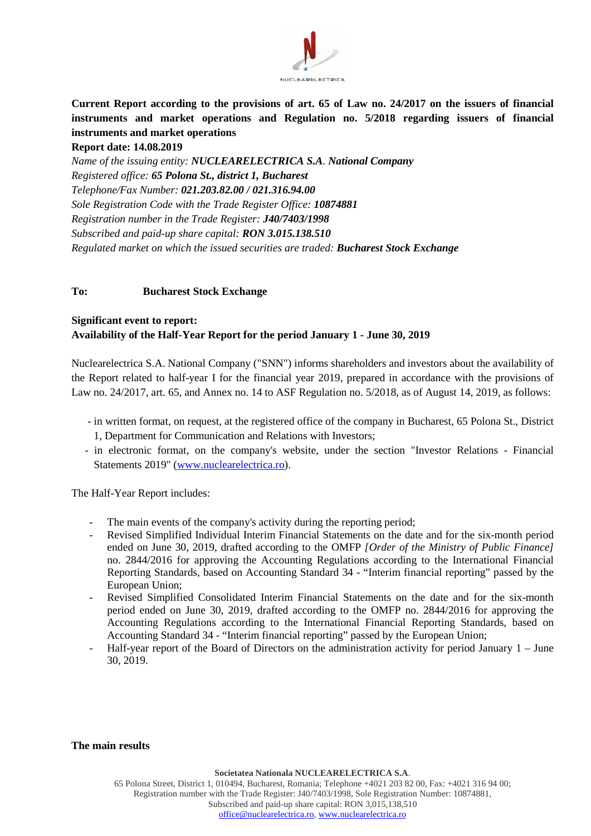

**Current Report according to the provisions of art. 65 of Law no. 24/2017 on the issuers of financial instruments and market operations and Regulation no. 5/2018 regarding issuers of financial instruments and market operations** 

### **Report date: 14.08.2019**

*Name of the issuing entity: NUCLEARELECTRICA S.A. National Company Registered office: 65 Polona St., district 1, Bucharest Telephone/Fax Number: 021.203.82.00 / 021.316.94.00 Sole Registration Code with the Trade Register Office: 10874881 Registration number in the Trade Register: J40/7403/1998 Subscribed and paid-up share capital: RON 3.015.138.510 Regulated market on which the issued securities are traded: Bucharest Stock Exchange*

### **To: Bucharest Stock Exchange**

# **Significant event to report: Availability of the Half-Year Report for the period January 1 - June 30, 2019**

Nuclearelectrica S.A. National Company ("SNN") informs shareholders and investors about the availability of the Report related to half-year I for the financial year 2019, prepared in accordance with the provisions of Law no. 24/2017, art. 65, and Annex no. 14 to ASF Regulation no. 5/2018, as of August 14, 2019, as follows:

- in written format, on request, at the registered office of the company in Bucharest, 65 Polona St., District 1, Department for Communication and Relations with Investors;
- in electronic format, on the company's website, under the section "Investor Relations Financial Statements 2019" [\(www.nuclearelectrica.ro\)](http://www.nuclearelectrica.ro/).

The Half-Year Report includes:

- The main events of the company's activity during the reporting period;
- Revised Simplified Individual Interim Financial Statements on the date and for the six-month period ended on June 30, 2019, drafted according to the OMFP *[Order of the Ministry of Public Finance]* no. 2844/2016 for approving the Accounting Regulations according to the International Financial Reporting Standards, based on Accounting Standard 34 - "Interim financial reporting" passed by the European Union;
- Revised Simplified Consolidated Interim Financial Statements on the date and for the six-month period ended on June 30, 2019, drafted according to the OMFP no. 2844/2016 for approving the Accounting Regulations according to the International Financial Reporting Standards, based on Accounting Standard 34 - "Interim financial reporting" passed by the European Union;
- Half-year report of the Board of Directors on the administration activity for period January 1 June 30, 2019.

#### **The main results**

**Societatea Nationala NUCLEARELECTRICA S.A**.

65 Polona Street, District 1, 010494, Bucharest, Romania; Telephone +4021 203 82 00, Fax: +4021 316 94 00; Registration number with the Trade Register: J40/7403/1998, Sole Registration Number: 10874881, Subscribed and paid-up share capital: RON 3,015,138,510 [office@nuclearelectrica.ro,](mailto:office@nuclearelectrica.ro) [www.nuclearelectrica.ro](http://www.nuclearelectrica.ro/)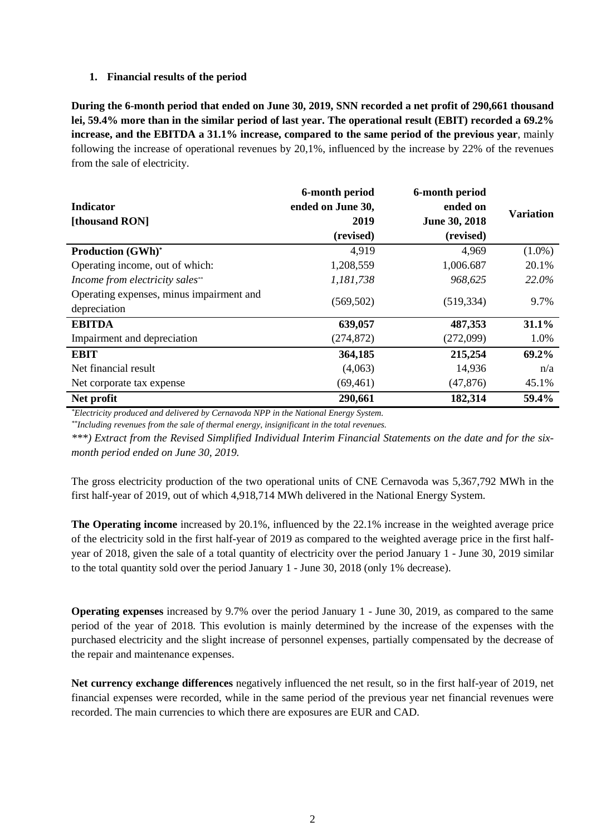### **1. Financial results of the period**

**During the 6-month period that ended on June 30, 2019, SNN recorded a net profit of 290,661 thousand lei, 59.4% more than in the similar period of last year. The operational result (EBIT) recorded a 69.2% increase, and the EBITDA a 31.1% increase, compared to the same period of the previous year**, mainly following the increase of operational revenues by 20,1%, influenced by the increase by 22% of the revenues from the sale of electricity.

| <b>Indicator</b><br>[thousand RON]                       | 6-month period<br>ended on June 30,<br>2019<br>(revised) | 6-month period<br>ended on<br>June 30, 2018<br>(revised) | <b>Variation</b> |
|----------------------------------------------------------|----------------------------------------------------------|----------------------------------------------------------|------------------|
| <b>Production (GWh)*</b>                                 | 4,919                                                    | 4,969                                                    | $(1.0\%)$        |
| Operating income, out of which:                          | 1,208,559                                                | 1,006.687                                                | 20.1%            |
| Income from electricity sales**                          | 1,181,738                                                | 968,625                                                  | 22.0%            |
| Operating expenses, minus impairment and<br>depreciation | (569, 502)                                               | (519, 334)                                               | 9.7%             |
| <b>EBITDA</b>                                            | 639,057                                                  | 487,353                                                  | 31.1%            |
| Impairment and depreciation                              | (274, 872)                                               | (272,099)                                                | 1.0%             |
| <b>EBIT</b>                                              | 364,185                                                  | 215,254                                                  | 69.2%            |
| Net financial result                                     | (4,063)                                                  | 14,936                                                   | n/a              |
| Net corporate tax expense                                | (69, 461)                                                | (47, 876)                                                | 45.1%            |
| Net profit                                               | 290,661                                                  | 182,314                                                  | 59.4%            |

*\*Electricity produced and delivered by Cernavoda NPP in the National Energy System.*

*\*\*Including revenues from the sale of thermal energy, insignificant in the total revenues.*

*\*\*\*) Extract from the Revised Simplified Individual Interim Financial Statements on the date and for the sixmonth period ended on June 30, 2019.*

The gross electricity production of the two operational units of CNE Cernavoda was 5,367,792 MWh in the first half-year of 2019, out of which 4,918,714 MWh delivered in the National Energy System.

**The Operating income** increased by 20.1%, influenced by the 22.1% increase in the weighted average price of the electricity sold in the first half-year of 2019 as compared to the weighted average price in the first halfyear of 2018, given the sale of a total quantity of electricity over the period January 1 - June 30, 2019 similar to the total quantity sold over the period January 1 - June 30, 2018 (only 1% decrease).

**Operating expenses** increased by 9.7% over the period January 1 - June 30, 2019, as compared to the same period of the year of 2018. This evolution is mainly determined by the increase of the expenses with the purchased electricity and the slight increase of personnel expenses, partially compensated by the decrease of the repair and maintenance expenses.

**Net currency exchange differences** negatively influenced the net result, so in the first half-year of 2019, net financial expenses were recorded, while in the same period of the previous year net financial revenues were recorded. The main currencies to which there are exposures are EUR and CAD.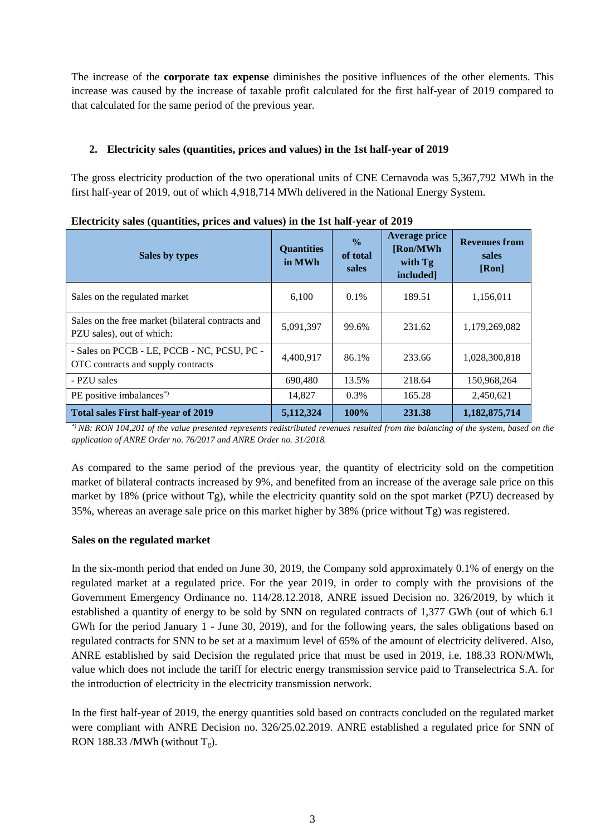The increase of the **corporate tax expense** diminishes the positive influences of the other elements. This increase was caused by the increase of taxable profit calculated for the first half-year of 2019 compared to that calculated for the same period of the previous year.

# **2. Electricity sales (quantities, prices and values) in the 1st half-year of 2019**

The gross electricity production of the two operational units of CNE Cernavoda was 5,367,792 MWh in the first half-year of 2019, out of which 4,918,714 MWh delivered in the National Energy System.

| Sales by types                                                                    | <b>Quantities</b><br>in MWh | $\frac{0}{0}$<br>of total<br>sales | <b>Average price</b><br>[Ron/MWh]<br>with Tg<br>included] | <b>Revenues from</b><br>sales<br>[Ron] |
|-----------------------------------------------------------------------------------|-----------------------------|------------------------------------|-----------------------------------------------------------|----------------------------------------|
| Sales on the regulated market                                                     | 6,100                       | $0.1\%$                            | 189.51                                                    | 1,156,011                              |
| Sales on the free market (bilateral contracts and<br>PZU sales), out of which:    | 5,091,397                   | 99.6%                              | 231.62                                                    | 1,179,269,082                          |
| - Sales on PCCB - LE, PCCB - NC, PCSU, PC -<br>OTC contracts and supply contracts | 4,400,917                   | 86.1%                              | 233.66                                                    | 1,028,300,818                          |
| - PZU sales                                                                       | 690,480                     | 13.5%                              | 218.64                                                    | 150,968,264                            |
| PE positive imbalances <sup>*</sup>                                               | 14,827                      | $0.3\%$                            | 165.28                                                    | 2,450,621                              |
| <b>Total sales First half-year of 2019</b>                                        | 5,112,324                   | 100%                               | 231.38                                                    | 1,182,875,714                          |

**Electricity sales (quantities, prices and values) in the 1st half-year of 2019**

*\*) NB: RON 104,201 of the value presented represents redistributed revenues resulted from the balancing of the system, based on the application of ANRE Order no. 76/2017 and ANRE Order no. 31/2018.*

As compared to the same period of the previous year, the quantity of electricity sold on the competition market of bilateral contracts increased by 9%, and benefited from an increase of the average sale price on this market by 18% (price without Tg), while the electricity quantity sold on the spot market (PZU) decreased by 35%, whereas an average sale price on this market higher by 38% (price without Tg) was registered.

## **Sales on the regulated market**

In the six-month period that ended on June 30, 2019, the Company sold approximately 0.1% of energy on the regulated market at a regulated price. For the year 2019, in order to comply with the provisions of the Government Emergency Ordinance no. 114/28.12.2018, ANRE issued Decision no. 326/2019, by which it established a quantity of energy to be sold by SNN on regulated contracts of 1,377 GWh (out of which 6.1 GWh for the period January 1 - June 30, 2019), and for the following years, the sales obligations based on regulated contracts for SNN to be set at a maximum level of 65% of the amount of electricity delivered. Also, ANRE established by said Decision the regulated price that must be used in 2019, i.e. 188.33 RON/MWh, value which does not include the tariff for electric energy transmission service paid to Transelectrica S.A. for the introduction of electricity in the electricity transmission network.

In the first half-year of 2019, the energy quantities sold based on contracts concluded on the regulated market were compliant with ANRE Decision no. 326/25.02.2019. ANRE established a regulated price for SNN of RON 188.33 /MWh (without  $T_g$ ).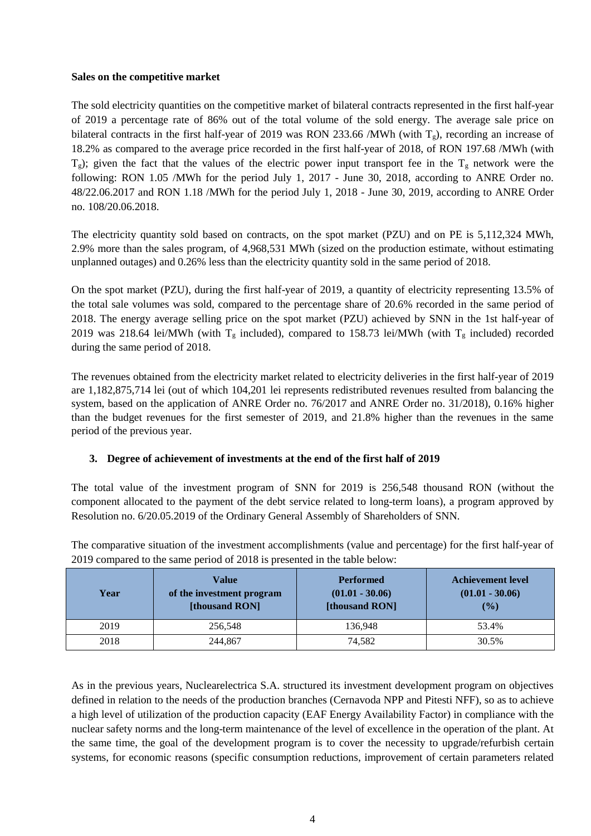#### **Sales on the competitive market**

The sold electricity quantities on the competitive market of bilateral contracts represented in the first half-year of 2019 a percentage rate of 86% out of the total volume of the sold energy. The average sale price on bilateral contracts in the first half-year of 2019 was RON 233.66 /MWh (with  $T_g$ ), recording an increase of 18.2% as compared to the average price recorded in the first half-year of 2018, of RON 197.68 /MWh (with  $T_g$ ); given the fact that the values of the electric power input transport fee in the  $T_g$  network were the following: RON 1.05 /MWh for the period July 1, 2017 - June 30, 2018, according to ANRE Order no. 48/22.06.2017 and RON 1.18 /MWh for the period July 1, 2018 - June 30, 2019, according to ANRE Order no. 108/20.06.2018.

The electricity quantity sold based on contracts, on the spot market (PZU) and on PE is 5,112,324 MWh, 2.9% more than the sales program, of 4,968,531 MWh (sized on the production estimate, without estimating unplanned outages) and 0.26% less than the electricity quantity sold in the same period of 2018.

On the spot market (PZU), during the first half-year of 2019, a quantity of electricity representing 13.5% of the total sale volumes was sold, compared to the percentage share of 20.6% recorded in the same period of 2018. The energy average selling price on the spot market (PZU) achieved by SNN in the 1st half-year of 2019 was 218.64 lei/MWh (with  $T_g$  included), compared to 158.73 lei/MWh (with  $T_g$  included) recorded during the same period of 2018.

The revenues obtained from the electricity market related to electricity deliveries in the first half-year of 2019 are 1,182,875,714 lei (out of which 104,201 lei represents redistributed revenues resulted from balancing the system, based on the application of ANRE Order no. 76/2017 and ANRE Order no. 31/2018), 0.16% higher than the budget revenues for the first semester of 2019, and 21.8% higher than the revenues in the same period of the previous year.

## **3. Degree of achievement of investments at the end of the first half of 2019**

The total value of the investment program of SNN for 2019 is 256,548 thousand RON (without the component allocated to the payment of the debt service related to long-term loans), a program approved by Resolution no. 6/20.05.2019 of the Ordinary General Assembly of Shareholders of SNN.

| Year | <b>Value</b><br>of the investment program<br>[thousand RON] | <b>Performed</b><br>$(01.01 - 30.06)$<br>[thousand RON] | <b>Achievement level</b><br>$(01.01 - 30.06)$<br>$($ %) |
|------|-------------------------------------------------------------|---------------------------------------------------------|---------------------------------------------------------|
| 2019 | 256,548                                                     | 136.948                                                 | 53.4%                                                   |
| 2018 | 244,867                                                     | 74.582                                                  | 30.5%                                                   |

The comparative situation of the investment accomplishments (value and percentage) for the first half-year of 2019 compared to the same period of 2018 is presented in the table below:

As in the previous years, Nuclearelectrica S.A. structured its investment development program on objectives defined in relation to the needs of the production branches (Cernavoda NPP and Pitesti NFF), so as to achieve a high level of utilization of the production capacity (EAF Energy Availability Factor) in compliance with the nuclear safety norms and the long-term maintenance of the level of excellence in the operation of the plant. At the same time, the goal of the development program is to cover the necessity to upgrade/refurbish certain systems, for economic reasons (specific consumption reductions, improvement of certain parameters related